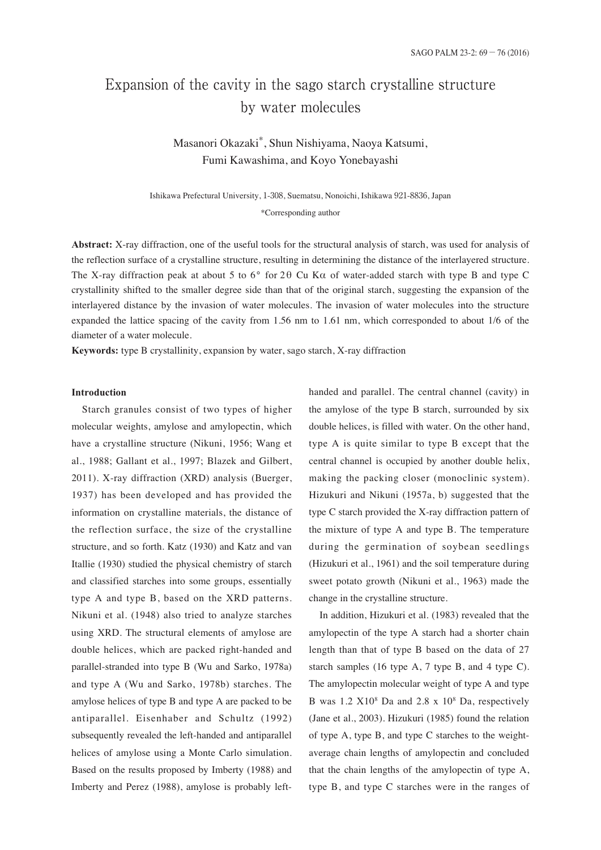# Expansion of the cavity in the sago starch crystalline structure by water molecules

Masanori Okazaki \*, Shun Nishiyama, Naoya Katsumi, Fumi Kawashima, and Koyo Yonebayashi

Ishikawa Prefectural University, 1-308, Suematsu, Nonoichi, Ishikawa 921-8836, Japan \*Corresponding author

**Abstract:** X-ray diffraction, one of the useful tools for the structural analysis of starch, was used for analysis of the reflection surface of a crystalline structure, resulting in determining the distance of the interlayered structure. The X-ray diffraction peak at about 5 to 6° for 2θ Cu Kα of water-added starch with type B and type C crystallinity shifted to the smaller degree side than that of the original starch, suggesting the expansion of the interlayered distance by the invasion of water molecules. The invasion of water molecules into the structure expanded the lattice spacing of the cavity from 1.56 nm to 1.61 nm, which corresponded to about 1/6 of the diameter of a water molecule.

**Keywords:** type B crystallinity, expansion by water, sago starch, X-ray diffraction

# **Introduction**

Starch granules consist of two types of higher molecular weights, amylose and amylopectin, which have a crystalline structure (Nikuni, 1956; Wang et al., 1988; Gallant et al., 1997; Blazek and Gilbert, 2011). X-ray diffraction (XRD) analysis (Buerger, 1937) has been developed and has provided the information on crystalline materials, the distance of the reflection surface, the size of the crystalline structure, and so forth. Katz (1930) and Katz and van Itallie (1930) studied the physical chemistry of starch and classified starches into some groups, essentially type A and type B, based on the XRD patterns. Nikuni et al. (1948) also tried to analyze starches using XRD. The structural elements of amylose are double helices, which are packed right-handed and parallel-stranded into type B (Wu and Sarko, 1978a) and type A (Wu and Sarko, 1978b) starches. The amylose helices of type B and type A are packed to be antiparallel. Eisenhaber and Schultz (1992) subsequently revealed the left-handed and antiparallel helices of amylose using a Monte Carlo simulation. Based on the results proposed by Imberty (1988) and Imberty and Perez (1988), amylose is probably lefthanded and parallel. The central channel (cavity) in the amylose of the type B starch, surrounded by six double helices, is filled with water. On the other hand, type A is quite similar to type B except that the central channel is occupied by another double helix, making the packing closer (monoclinic system). Hizukuri and Nikuni (1957a, b) suggested that the type C starch provided the X-ray diffraction pattern of the mixture of type A and type B. The temperature during the germination of soybean seedlings (Hizukuri et al., 1961) and the soil temperature during sweet potato growth (Nikuni et al., 1963) made the change in the crystalline structure.

In addition, Hizukuri et al. (1983) revealed that the amylopectin of the type A starch had a shorter chain length than that of type B based on the data of 27 starch samples (16 type A, 7 type B, and 4 type C). The amylopectin molecular weight of type A and type B was 1.2 X108 Da and 2.8 x 108 Da, respectively (Jane et al., 2003). Hizukuri (1985) found the relation of type A, type B, and type C starches to the weightaverage chain lengths of amylopectin and concluded that the chain lengths of the amylopectin of type A, type B, and type C starches were in the ranges of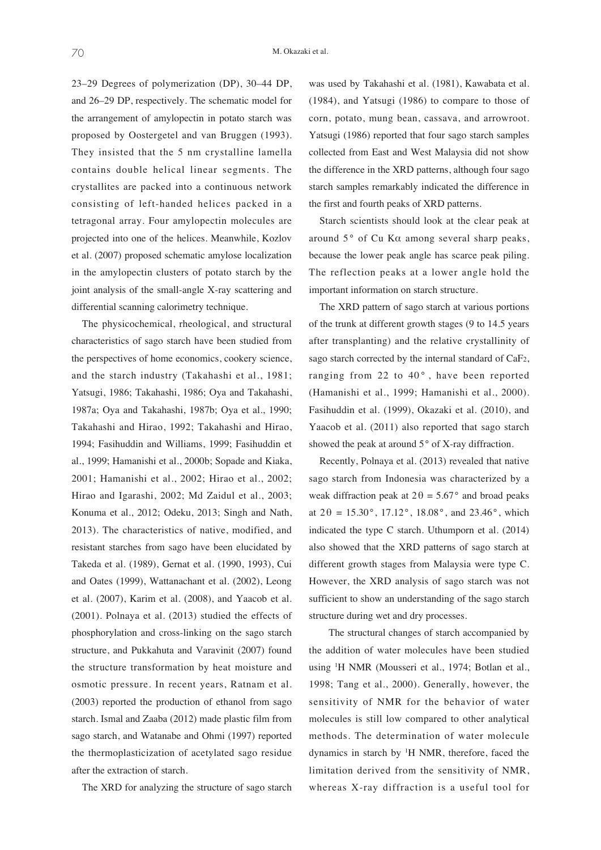23–29 Degrees of polymerization (DP), 30–44 DP, and 26–29 DP, respectively. The schematic model for the arrangement of amylopectin in potato starch was proposed by Oostergetel and van Bruggen (1993). They insisted that the 5 nm crystalline lamella contains double helical linear segments. The crystallites are packed into a continuous network consisting of left-handed helices packed in a tetragonal array. Four amylopectin molecules are projected into one of the helices. Meanwhile, Kozlov et al. (2007) proposed schematic amylose localization in the amylopectin clusters of potato starch by the joint analysis of the small-angle X-ray scattering and differential scanning calorimetry technique.

The physicochemical, rheological, and structural characteristics of sago starch have been studied from the perspectives of home economics, cookery science, and the starch industry (Takahashi et al., 1981; Yatsugi, 1986; Takahashi, 1986; Oya and Takahashi, 1987a; Oya and Takahashi, 1987b; Oya et al., 1990; Takahashi and Hirao, 1992; Takahashi and Hirao, 1994; Fasihuddin and Williams, 1999; Fasihuddin et al., 1999; Hamanishi et al., 2000b; Sopade and Kiaka, 2001; Hamanishi et al., 2002; Hirao et al., 2002; Hirao and Igarashi, 2002; Md Zaidul et al., 2003; Konuma et al., 2012; Odeku, 2013; Singh and Nath, 2013). The characteristics of native, modified, and resistant starches from sago have been elucidated by Takeda et al. (1989), Gernat et al. (1990, 1993), Cui and Oates (1999), Wattanachant et al. (2002), Leong et al. (2007), Karim et al. (2008), and Yaacob et al. (2001). Polnaya et al. (2013) studied the effects of phosphorylation and cross-linking on the sago starch structure, and Pukkahuta and Varavinit (2007) found the structure transformation by heat moisture and osmotic pressure. In recent years, Ratnam et al. (2003) reported the production of ethanol from sago starch. Ismal and Zaaba (2012) made plastic film from sago starch, and Watanabe and Ohmi (1997) reported the thermoplasticization of acetylated sago residue after the extraction of starch.

The XRD for analyzing the structure of sago starch

was used by Takahashi et al. (1981), Kawabata et al. (1984), and Yatsugi (1986) to compare to those of corn, potato, mung bean, cassava, and arrowroot. Yatsugi (1986) reported that four sago starch samples collected from East and West Malaysia did not show the difference in the XRD patterns, although four sago starch samples remarkably indicated the difference in the first and fourth peaks of XRD patterns.

Starch scientists should look at the clear peak at around  $5^{\circ}$  of Cu K $\alpha$  among several sharp peaks, because the lower peak angle has scarce peak piling. The reflection peaks at a lower angle hold the important information on starch structure.

The XRD pattern of sago starch at various portions of the trunk at different growth stages (9 to 14.5 years after transplanting) and the relative crystallinity of sago starch corrected by the internal standard of CaF2, ranging from 22 to  $40^\circ$ , have been reported (Hamanishi et al., 1999; Hamanishi et al., 2000). Fasihuddin et al. (1999), Okazaki et al. (2010), and Yaacob et al. (2011) also reported that sago starch showed the peak at around 5° of X-ray diffraction.

Recently, Polnaya et al. (2013) revealed that native sago starch from Indonesia was characterized by a weak diffraction peak at  $2\theta = 5.67^{\circ}$  and broad peaks at  $2\theta = 15.30^{\circ}$ , 17.12°, 18.08°, and 23.46°, which indicated the type C starch. Uthumporn et al. (2014) also showed that the XRD patterns of sago starch at different growth stages from Malaysia were type C. However, the XRD analysis of sago starch was not sufficient to show an understanding of the sago starch structure during wet and dry processes.

The structural changes of starch accompanied by the addition of water molecules have been studied using <sup>1</sup> H NMR (Mousseri et al., 1974; Botlan et al., 1998; Tang et al., 2000). Generally, however, the sensitivity of NMR for the behavior of water molecules is still low compared to other analytical methods. The determination of water molecule dynamics in starch by <sup>1</sup>H NMR, therefore, faced the limitation derived from the sensitivity of NMR, whereas X-ray diffraction is a useful tool for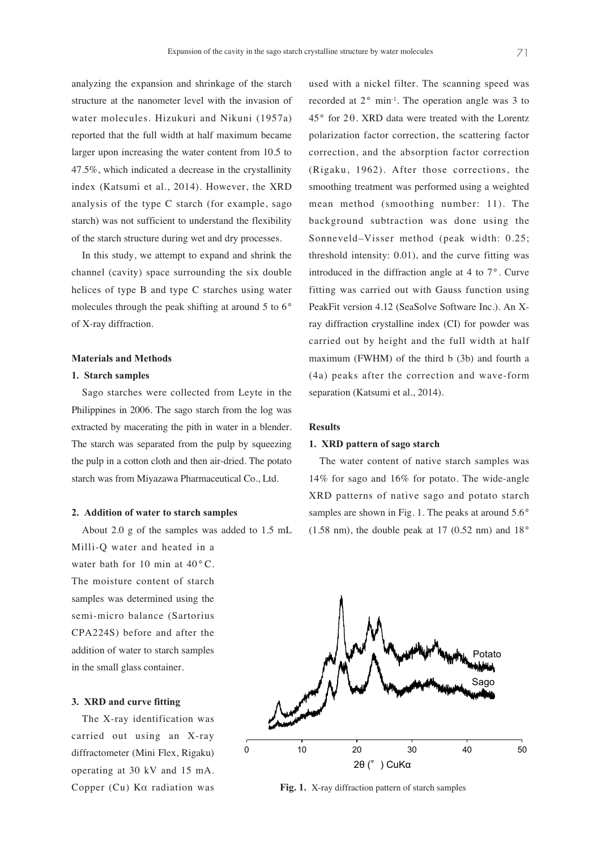analyzing the expansion and shrinkage of the starch structure at the nanometer level with the invasion of water molecules. Hizukuri and Nikuni (1957a) reported that the full width at half maximum became larger upon increasing the water content from 10.5 to 47.5%, which indicated a decrease in the crystallinity index (Katsumi et al., 2014). However, the XRD analysis of the type C starch (for example, sago starch) was not sufficient to understand the flexibility of the starch structure during wet and dry processes.

In this study, we attempt to expand and shrink the channel (cavity) space surrounding the six double helices of type B and type C starches using water molecules through the peak shifting at around 5 to 6° of X-ray diffraction.

### **Materials and Methods**

#### **1. Starch samples**

Sago starches were collected from Leyte in the Philippines in 2006. The sago starch from the log was extracted by macerating the pith in water in a blender. The starch was separated from the pulp by squeezing the pulp in a cotton cloth and then air-dried. The potato starch was from Miyazawa Pharmaceutical Co., Ltd.

#### **2. Addition of water to starch samples**

About 2.0 g of the samples was added to 1.5 mL Milli-Q water and heated in a water bath for 10 min at  $40^{\circ}$  C. The moisture content of starch samples was determined using the semi-micro balance (Sartorius CPA224S) before and after the addition of water to starch samples in the small glass container.

# **3. XRD and curve fitting**

The X-ray identification was carried out using an X-ray diffractometer (Mini Flex, Rigaku) operating at 30 kV and 15 mA. Copper (Cu) Kα radiation was

used with a nickel filter. The scanning speed was recorded at 2° min-1 . The operation angle was 3 to 45° for 2θ. XRD data were treated with the Lorentz polarization factor correction, the scattering factor correction, and the absorption factor correction (Rigaku, 1962). After those corrections, the smoothing treatment was performed using a weighted mean method (smoothing number: 11). The background subtraction was done using the Sonneveld–Visser method (peak width: 0.25; threshold intensity: 0.01), and the curve fitting was introduced in the diffraction angle at 4 to 7°. Curve fitting was carried out with Gauss function using PeakFit version 4.12 (SeaSolve Software Inc.). An Xray diffraction crystalline index (CI) for powder was carried out by height and the full width at half maximum (FWHM) of the third b (3b) and fourth a (4a) peaks after the correction and wave-form separation (Katsumi et al., 2014).

#### **Results**

#### **1. XRD pattern of sago starch**

The water content of native starch samples was 14% for sago and 16% for potato. The wide-angle XRD patterns of native sago and potato starch samples are shown in Fig. 1. The peaks at around  $5.6^{\circ}$  $(1.58 \text{ nm})$ , the double peak at 17  $(0.52 \text{ nm})$  and 18°



**Fig. 1.** X-ray diffraction pattern of starch samples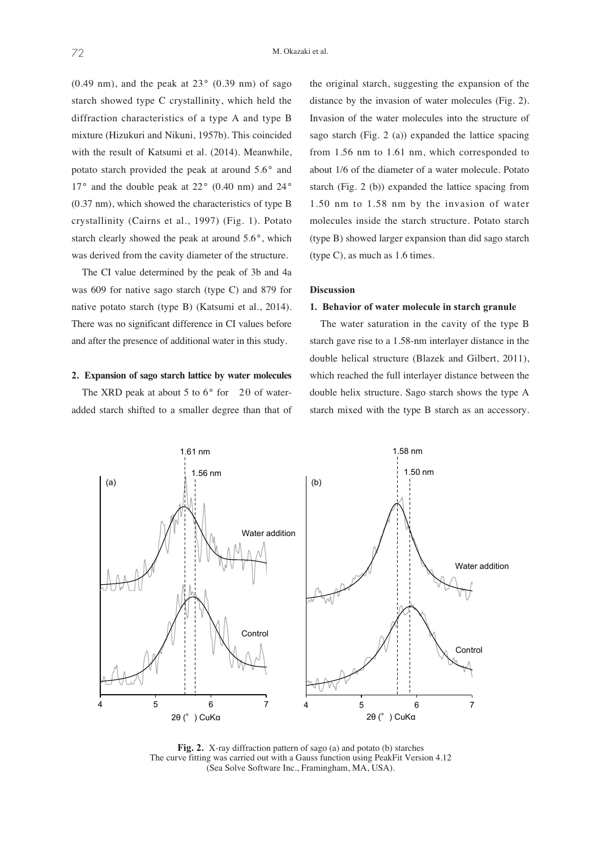$(0.49 \text{ nm})$ , and the peak at  $23^{\circ}$   $(0.39 \text{ nm})$  of sago starch showed type C crystallinity, which held the diffraction characteristics of a type A and type B mixture (Hizukuri and Nikuni, 1957b). This coincided with the result of Katsumi et al. (2014). Meanwhile, potato starch provided the peak at around 5.6° and  $17^{\circ}$  and the double peak at  $22^{\circ}$  (0.40 nm) and  $24^{\circ}$ (0.37 nm), which showed the characteristics of type B crystallinity (Cairns et al., 1997) (Fig. 1). Potato starch clearly showed the peak at around 5.6°, which was derived from the cavity diameter of the structure.

The CI value determined by the peak of 3b and 4a was 609 for native sago starch (type C) and 879 for native potato starch (type B) (Katsumi et al., 2014). There was no significant difference in CI values before and after the presence of additional water in this study.

## **2. Expansion of sago starch lattice by water molecules**

The XRD peak at about 5 to  $6^{\circ}$  for 2 $\theta$  of wateradded starch shifted to a smaller degree than that of the original starch, suggesting the expansion of the distance by the invasion of water molecules (Fig. 2). Invasion of the water molecules into the structure of sago starch (Fig. 2 (a)) expanded the lattice spacing from 1.56 nm to 1.61 nm, which corresponded to about 1/6 of the diameter of a water molecule. Potato starch (Fig. 2 (b)) expanded the lattice spacing from 1.50 nm to 1.58 nm by the invasion of water molecules inside the starch structure. Potato starch (type B) showed larger expansion than did sago starch (type C), as much as 1.6 times.

#### **Discussion**

#### **1. Behavior of water molecule in starch granule**

The water saturation in the cavity of the type B starch gave rise to a 1.58-nm interlayer distance in the double helical structure (Blazek and Gilbert, 2011), which reached the full interlayer distance between the double helix structure. Sago starch shows the type A starch mixed with the type B starch as an accessory.



**Fig. 2.** X-ray diffraction pattern of sago (a) and potato (b) starches The curve fitting was carried out with a Gauss function using PeakFit Version 4.12 (Sea Solve Software Inc., Framingham, MA, USA).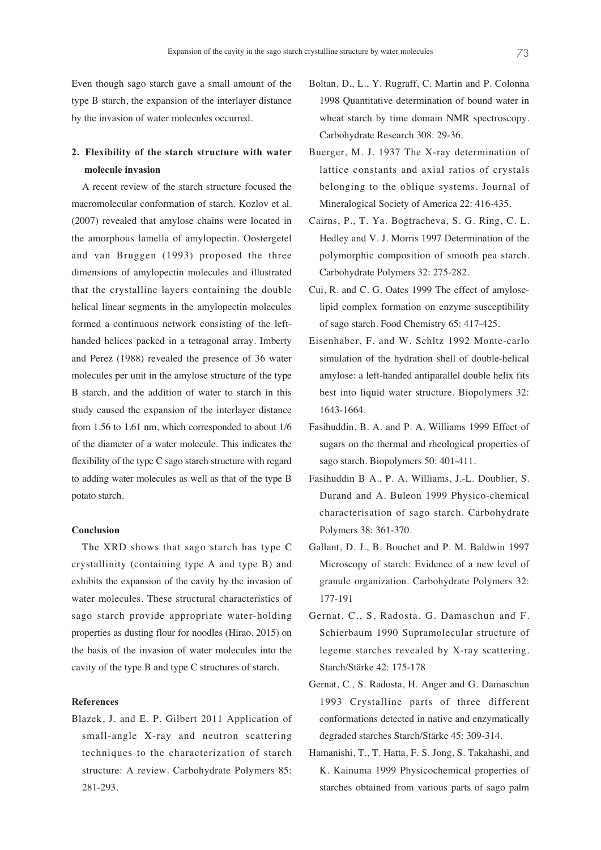Even though sago starch gave a small amount of the type B starch, the expansion of the interlayer distance by the invasion of water molecules occurred.

# **2. Flexibility of the starch structure with water molecule invasion**

A recent review of the starch structure focused the macromolecular conformation of starch. Kozlov et al. (2007) revealed that amylose chains were located in the amorphous lamella of amylopectin. Oostergetel and van Bruggen (1993) proposed the three dimensions of amylopectin molecules and illustrated that the crystalline layers containing the double helical linear segments in the amylopectin molecules formed a continuous network consisting of the lefthanded helices packed in a tetragonal array. Imberty and Perez (1988) revealed the presence of 36 water molecules per unit in the amylose structure of the type B starch, and the addition of water to starch in this study caused the expansion of the interlayer distance from 1.56 to 1.61 nm, which corresponded to about 1/6 of the diameter of a water molecule. This indicates the flexibility of the type C sago starch structure with regard to adding water molecules as well as that of the type B potato starch.

#### **Conclusion**

The XRD shows that sago starch has type C crystallinity (containing type A and type B) and exhibits the expansion of the cavity by the invasion of water molecules. These structural characteristics of sago starch provide appropriate water-holding properties as dusting flour for noodles (Hirao, 2015) on the basis of the invasion of water molecules into the cavity of the type B and type C structures of starch.

# **References**

Blazek, J. and E. P. Gilbert 2011 Application of small-angle X-ray and neutron scattering techniques to the characterization of starch structure: A review. Carbohydrate Polymers 85: 281-293.

- Boltan, D., L., Y. Rugraff, C. Martin and P. Colonna 1998 Quantitative determination of bound water in wheat starch by time domain NMR spectroscopy. Carbohydrate Research 308: 29-36.
- Buerger, M. J. 1937 The X-ray determination of lattice constants and axial ratios of crystals belonging to the oblique systems. Journal of Mineralogical Society of America 22: 416-435.
- Cairns, P., T. Ya. Bogtracheva, S. G. Ring, C. L. Hedley and V. J. Morris 1997 Determination of the polymorphic composition of smooth pea starch. Carbohydrate Polymers 32: 275-282.
- Cui, R. and C. G. Oates 1999 The effect of amyloselipid complex formation on enzyme susceptibility of sago starch. Food Chemistry 65: 417-425.
- Eisenhaber, F. and W. Schltz 1992 Monte-carlo simulation of the hydration shell of double-helical amylose: a left-handed antiparallel double helix fits best into liquid water structure. Biopolymers 32: 1643-1664.
- Fasihuddin, B. A. and P. A. Williams 1999 Effect of sugars on the thermal and rheological properties of sago starch. Biopolymers 50: 401-411.
- Fasihuddin B A., P. A. Williams, J.-L. Doublier, S. Durand and A. Buleon 1999 Physico-chemical characterisation of sago starch. Carbohydrate Polymers 38: 361-370.
- Gallant, D. J., B. Bouchet and P. M. Baldwin 1997 Microscopy of starch: Evidence of a new level of granule organization. Carbohydrate Polymers 32: 177-191
- Gernat, C., S. Radosta, G. Damaschun and F. Schierbaum 1990 Supramolecular structure of legeme starches revealed by X-ray scattering. Starch/Stärke 42: 175-178
- Gernat, C., S. Radosta, H. Anger and G. Damaschun 1993 Crystalline parts of three different conformations detected in native and enzymatically degraded starches Starch/Stärke 45: 309-314.
- Hamanishi, T., T. Hatta, F. S. Jong, S. Takahashi, and K. Kainuma 1999 Physicochemical properties of starches obtained from various parts of sago palm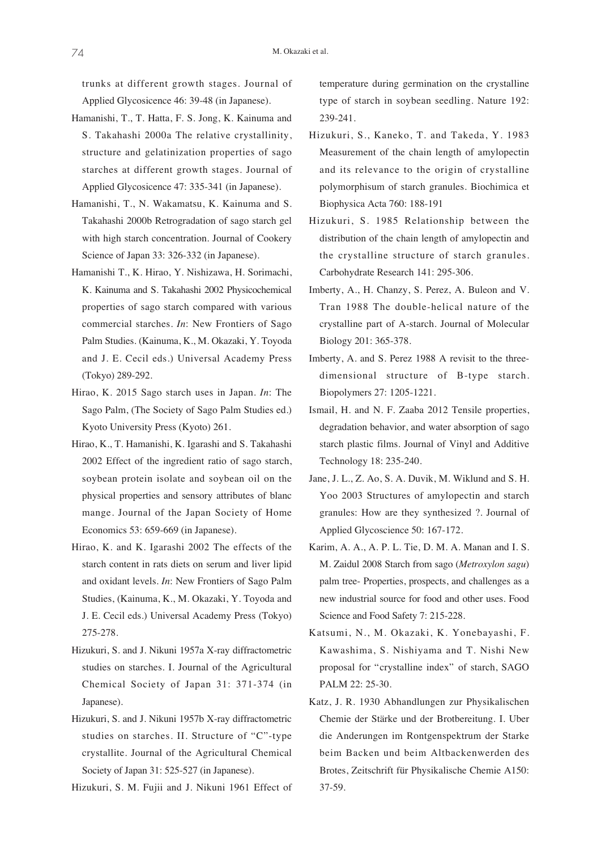trunks at different growth stages. Journal of Applied Glycosicence 46: 39-48 (in Japanese).

- Hamanishi, T., T. Hatta, F. S. Jong, K. Kainuma and S. Takahashi 2000a The relative crystallinity, structure and gelatinization properties of sago starches at different growth stages. Journal of Applied Glycosicence 47: 335-341 (in Japanese).
- Hamanishi, T., N. Wakamatsu, K. Kainuma and S. Takahashi 2000b Retrogradation of sago starch gel with high starch concentration. Journal of Cookery Science of Japan 33: 326-332 (in Japanese).
- Hamanishi T., K. Hirao, Y. Nishizawa, H. Sorimachi, K. Kainuma and S. Takahashi 2002 Physicochemical properties of sago starch compared with various commercial starches. *In*: New Frontiers of Sago Palm Studies. (Kainuma, K., M. Okazaki, Y. Toyoda and J. E. Cecil eds.) Universal Academy Press (Tokyo) 289-292.
- Hirao, K. 2015 Sago starch uses in Japan. *In*: The Sago Palm, (The Society of Sago Palm Studies ed.) Kyoto University Press (Kyoto) 261.
- Hirao, K., T. Hamanishi, K. Igarashi and S. Takahashi 2002 Effect of the ingredient ratio of sago starch, soybean protein isolate and soybean oil on the physical properties and sensory attributes of blanc mange. Journal of the Japan Society of Home Economics 53: 659-669 (in Japanese).
- Hirao, K. and K. Igarashi 2002 The effects of the starch content in rats diets on serum and liver lipid and oxidant levels. *In*: New Frontiers of Sago Palm Studies, (Kainuma, K., M. Okazaki, Y. Toyoda and J. E. Cecil eds.) Universal Academy Press (Tokyo) 275-278.
- Hizukuri, S. and J. Nikuni 1957a X-ray diffractometric studies on starches. I. Journal of the Agricultural Chemical Society of Japan 31: 371-374 (in Japanese).
- Hizukuri, S. and J. Nikuni 1957b X-ray diffractometric studies on starches. II. Structure of "C"-type crystallite. Journal of the Agricultural Chemical Society of Japan 31: 525-527 (in Japanese).
- Hizukuri, S. M. Fujii and J. Nikuni 1961 Effect of

temperature during germination on the crystalline type of starch in soybean seedling. Nature 192: 239-241.

- Hizukuri, S., Kaneko, T. and Takeda, Y. 1983 Measurement of the chain length of amylopectin and its relevance to the origin of crystalline polymorphisum of starch granules. Biochimica et Biophysica Acta 760: 188-191
- Hizukuri, S. 1985 Relationship between the distribution of the chain length of amylopectin and the crystalline structure of starch granules. Carbohydrate Research 141: 295-306.
- Imberty, A., H. Chanzy, S. Perez, A. Buleon and V. Tran 1988 The double-helical nature of the crystalline part of A-starch. Journal of Molecular Biology 201: 365-378.
- Imberty, A. and S. Perez 1988 A revisit to the threedimensional structure of B-type starch. Biopolymers 27: 1205-1221.
- Ismail, H. and N. F. Zaaba 2012 Tensile properties, degradation behavior, and water absorption of sago starch plastic films. Journal of Vinyl and Additive Technology 18: 235-240.
- Jane, J. L., Z. Ao, S. A. Duvik, M. Wiklund and S. H. Yoo 2003 Structures of amylopectin and starch granules: How are they synthesized ?. Journal of Applied Glycoscience 50: 167-172.
- Karim, A. A., A. P. L. Tie, D. M. A. Manan and I. S. M. Zaidul 2008 Starch from sago (*Metroxylon sagu*) palm tree- Properties, prospects, and challenges as a new industrial source for food and other uses. Food Science and Food Safety 7: 215-228.
- Katsumi, N., M. Okazaki, K. Yonebayashi, F. Kawashima, S. Nishiyama and T. Nishi New proposal for "crystalline index" of starch, SAGO PALM 22: 25-30.
- Katz, J. R. 1930 Abhandlungen zur Physikalischen Chemie der Stärke und der Brotbereitung. I. Uber die Anderungen im Rontgenspektrum der Starke beim Backen und beim Altbackenwerden des Brotes, Zeitschrift für Physikalische Chemie A150: 37-59.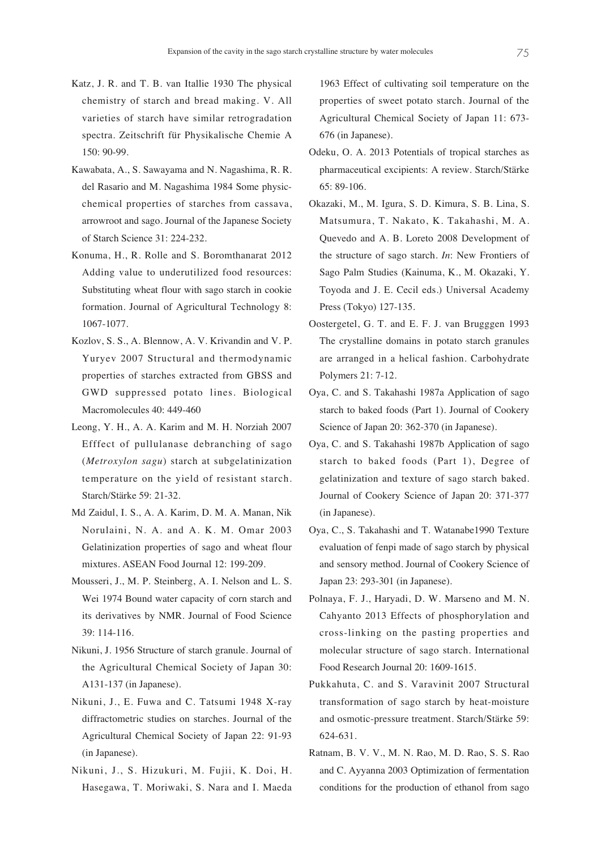- Katz, J. R. and T. B. van Itallie 1930 The physical chemistry of starch and bread making. V. All varieties of starch have similar retrogradation spectra. Zeitschrift für Physikalische Chemie A 150: 90-99.
- Kawabata, A., S. Sawayama and N. Nagashima, R. R. del Rasario and M. Nagashima 1984 Some physicchemical properties of starches from cassava, arrowroot and sago. Journal of the Japanese Society of Starch Science 31: 224-232.
- Konuma, H., R. Rolle and S. Boromthanarat 2012 Adding value to underutilized food resources: Substituting wheat flour with sago starch in cookie formation. Journal of Agricultural Technology 8: 1067-1077.
- Kozlov, S. S., A. Blennow, A. V. Krivandin and V. P. Yuryev 2007 Structural and thermodynamic properties of starches extracted from GBSS and GWD suppressed potato lines. Biological Macromolecules 40: 449-460
- Leong, Y. H., A. A. Karim and M. H. Norziah 2007 Efffect of pullulanase debranching of sago (*Metroxylon sagu*) starch at subgelatinization temperature on the yield of resistant starch. Starch/Stärke 59: 21-32.
- Md Zaidul, I. S., A. A. Karim, D. M. A. Manan, Nik Norulaini, N. A. and A. K. M. Omar 2003 Gelatinization properties of sago and wheat flour mixtures. ASEAN Food Journal 12: 199-209.
- Mousseri, J., M. P. Steinberg, A. I. Nelson and L. S. Wei 1974 Bound water capacity of corn starch and its derivatives by NMR. Journal of Food Science 39: 114-116.
- Nikuni, J. 1956 Structure of starch granule. Journal of the Agricultural Chemical Society of Japan 30: A131-137 (in Japanese).
- Nikuni, J., E. Fuwa and C. Tatsumi 1948 X-ray diffractometric studies on starches. Journal of the Agricultural Chemical Society of Japan 22: 91-93 (in Japanese).
- Nikuni, J., S. Hizukuri, M. Fujii, K. Doi, H. Hasegawa, T. Moriwaki, S. Nara and I. Maeda

1963 Effect of cultivating soil temperature on the properties of sweet potato starch. Journal of the Agricultural Chemical Society of Japan 11: 673- 676 (in Japanese).

- Odeku, O. A. 2013 Potentials of tropical starches as pharmaceutical excipients: A review. Starch/Stärke 65: 89-106.
- Okazaki, M., M. Igura, S. D. Kimura, S. B. Lina, S. Matsumura, T. Nakato, K. Takahashi, M. A. Quevedo and A. B. Loreto 2008 Development of the structure of sago starch. *In*: New Frontiers of Sago Palm Studies (Kainuma, K., M. Okazaki, Y. Toyoda and J. E. Cecil eds.) Universal Academy Press (Tokyo) 127-135.
- Oostergetel, G. T. and E. F. J. van Brugggen 1993 The crystalline domains in potato starch granules are arranged in a helical fashion. Carbohydrate Polymers 21: 7-12.
- Oya, C. and S. Takahashi 1987a Application of sago starch to baked foods (Part 1). Journal of Cookery Science of Japan 20: 362-370 (in Japanese).
- Oya, C. and S. Takahashi 1987b Application of sago starch to baked foods (Part 1), Degree of gelatinization and texture of sago starch baked. Journal of Cookery Science of Japan 20: 371-377 (in Japanese).
- Oya, C., S. Takahashi and T. Watanabe1990 Texture evaluation of fenpi made of sago starch by physical and sensory method. Journal of Cookery Science of Japan 23: 293-301 (in Japanese).
- Polnaya, F. J., Haryadi, D. W. Marseno and M. N. Cahyanto 2013 Effects of phosphorylation and cross-linking on the pasting properties and molecular structure of sago starch. International Food Research Journal 20: 1609-1615.
- Pukkahuta, C. and S. Varavinit 2007 Structural transformation of sago starch by heat-moisture and osmotic-pressure treatment. Starch/Stärke 59: 624-631.
- Ratnam, B. V. V., M. N. Rao, M. D. Rao, S. S. Rao and C. Ayyanna 2003 Optimization of fermentation conditions for the production of ethanol from sago